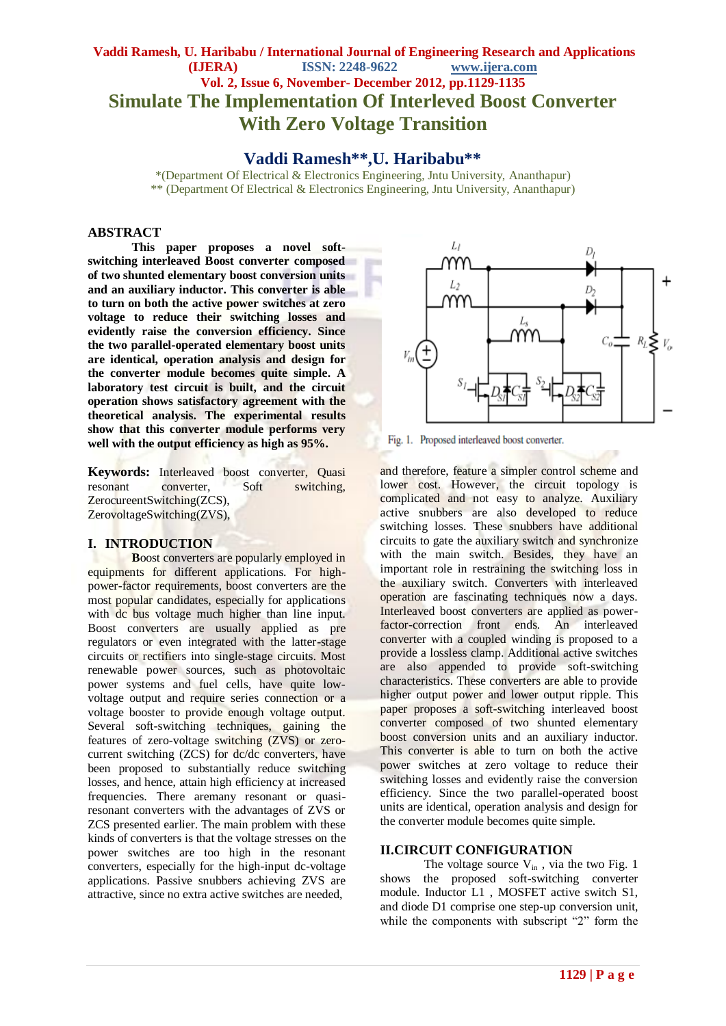# **Vaddi Ramesh, U. Haribabu / International Journal of Engineering Research and Applications (IJERA) ISSN: 2248-9622 www.ijera.com Vol. 2, Issue 6, November- December 2012, pp.1129-1135 Simulate The Implementation Of Interleved Boost Converter With Zero Voltage Transition**

**Vaddi Ramesh\*\*,U. Haribabu\*\***

\*(Department Of Electrical & Electronics Engineering, Jntu University, Ananthapur) \*\* (Department Of Electrical & Electronics Engineering, Jntu University, Ananthapur)

# **ABSTRACT**

**This paper proposes a novel softswitching interleaved Boost converter composed of two shunted elementary boost conversion units and an auxiliary inductor. This converter is able to turn on both the active power switches at zero voltage to reduce their switching losses and evidently raise the conversion efficiency. Since the two parallel-operated elementary boost units are identical, operation analysis and design for the converter module becomes quite simple. A laboratory test circuit is built, and the circuit operation shows satisfactory agreement with the theoretical analysis. The experimental results show that this converter module performs very well with the output efficiency as high as 95%.**

**Keywords:** Interleaved boost converter, Quasi resonant converter, Soft switching, ZerocureentSwitching(ZCS), ZerovoltageSwitching(ZVS),

## **I. INTRODUCTION**

**B**oost converters are popularly employed in equipments for different applications. For highpower-factor requirements, boost converters are the most popular candidates, especially for applications with dc bus voltage much higher than line input. Boost converters are usually applied as pre regulators or even integrated with the latter-stage circuits or rectifiers into single-stage circuits. Most renewable power sources, such as photovoltaic power systems and fuel cells, have quite lowvoltage output and require series connection or a voltage booster to provide enough voltage output. Several soft-switching techniques, gaining the features of zero-voltage switching (ZVS) or zerocurrent switching (ZCS) for dc/dc converters, have been proposed to substantially reduce switching losses, and hence, attain high efficiency at increased frequencies. There aremany resonant or quasiresonant converters with the advantages of ZVS or ZCS presented earlier. The main problem with these kinds of converters is that the voltage stresses on the power switches are too high in the resonant converters, especially for the high-input dc-voltage applications. Passive snubbers achieving ZVS are attractive, since no extra active switches are needed,



Fig. 1. Proposed interleaved boost converter.

and therefore, feature a simpler control scheme and lower cost. However, the circuit topology is complicated and not easy to analyze. Auxiliary active snubbers are also developed to reduce switching losses. These snubbers have additional circuits to gate the auxiliary switch and synchronize with the main switch. Besides, they have an important role in restraining the switching loss in the auxiliary switch. Converters with interleaved operation are fascinating techniques now a days. Interleaved boost converters are applied as powerfactor-correction front ends. An interleaved converter with a coupled winding is proposed to a provide a lossless clamp. Additional active switches are also appended to provide soft-switching characteristics. These converters are able to provide higher output power and lower output ripple. This paper proposes a soft-switching interleaved boost converter composed of two shunted elementary boost conversion units and an auxiliary inductor. This converter is able to turn on both the active power switches at zero voltage to reduce their switching losses and evidently raise the conversion efficiency. Since the two parallel-operated boost units are identical, operation analysis and design for the converter module becomes quite simple.

# **II.CIRCUIT CONFIGURATION**

The voltage source  $V_{in}$ , via the two Fig. 1 shows the proposed soft-switching converter module. Inductor L1 , MOSFET active switch S1, and diode D1 comprise one step-up conversion unit, while the components with subscript "2" form the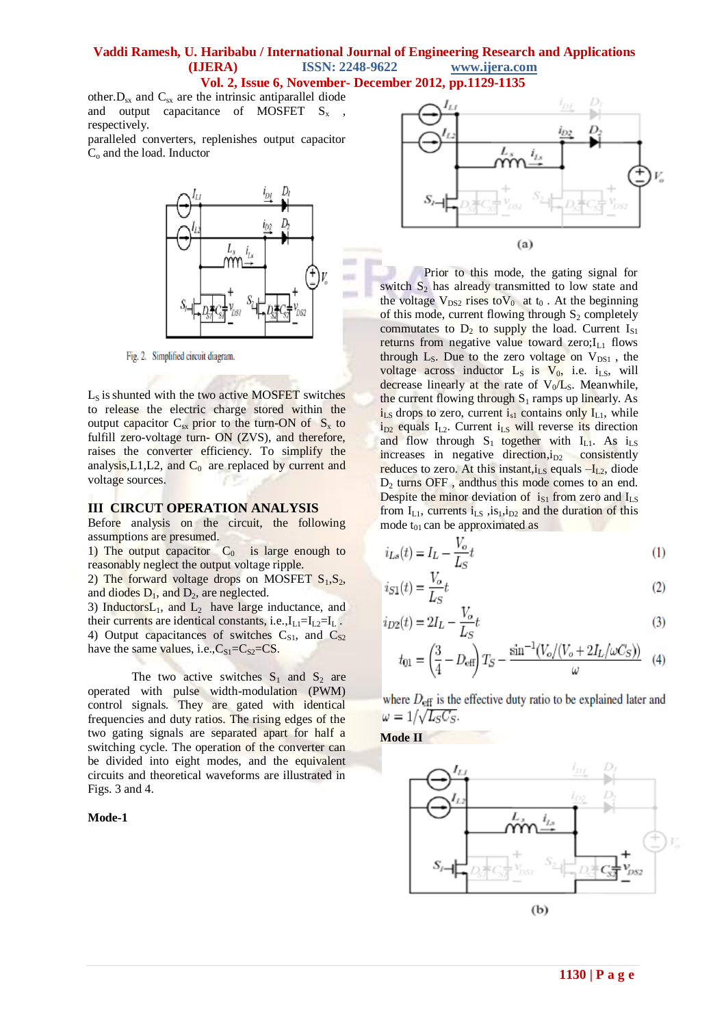## **Vaddi Ramesh, U. Haribabu / International Journal of Engineering Research and Applications (IJERA) ISSN: 2248-9622 www.ijera.com Vol. 2, Issue 6, November- December 2012, pp.1129-1135**

other. $D_{sx}$  and  $C_{sx}$  are the intrinsic antiparallel diode and output capacitance of MOSFET  $S_x$ respectively.

paralleled converters, replenishes output capacitor C<sub>o</sub> and the load. Inductor



Fig. 2. Simplified circuit diagram.

 $L<sub>S</sub>$  is shunted with the two active MOSFET switches to release the electric charge stored within the output capacitor  $C_{sx}$  prior to the turn-ON of  $S_x$  to fulfill zero-voltage turn- ON (ZVS), and therefore, raises the converter efficiency. To simplify the analysis,  $L1$ ,  $L2$ , and  $C_0$  are replaced by current and voltage sources.

# **III CIRCUT OPERATION ANALYSIS**

Before analysis on the circuit, the following assumptions are presumed.

1) The output capacitor  $C_0$  is large enough to reasonably neglect the output voltage ripple.

2) The forward voltage drops on MOSFET  $S_1, S_2$ , and diodes  $D_1$ , and  $D_2$ , are neglected.

3) Inductors $L_1$ , and  $L_2$  have large inductance, and their currents are identical constants, i.e., $I_{L1}=I_{L2}=I_{L}$ . 4) Output capacitances of switches  $C_{S1}$ , and  $C_{S2}$ have the same values, i.e., $C_{S1} = C_{S2} = CS$ .

The two active switches  $S_1$  and  $S_2$  are operated with pulse width-modulation (PWM) control signals. They are gated with identical frequencies and duty ratios. The rising edges of the two gating signals are separated apart for half a switching cycle. The operation of the converter can be divided into eight modes, and the equivalent circuits and theoretical waveforms are illustrated in Figs. 3 and 4.

**Mode-1**



Prior to this mode, the gating signal for switch  $S_2$  has already transmitted to low state and the voltage  $V_{DS2}$  rises to  $V_0$  at  $t_0$ . At the beginning of this mode, current flowing through  $S_2$  completely commutates to  $D_2$  to supply the load. Current  $I_{S1}$ returns from negative value toward zero; $I_{L1}$  flows through  $L_s$ . Due to the zero voltage on  $V_{DS1}$ , the voltage across inductor  $L_S$  is  $V_0$ , i.e. i<sub>LS</sub>, will decrease linearly at the rate of  $V_0/L_s$ . Meanwhile, the current flowing through  $S_1$  ramps up linearly. As  $i_{LS}$  drops to zero, current  $i_{s1}$  contains only  $I_{L1}$ , while  $i_{D2}$  equals  $I_{L2}$ . Current  $i_{LS}$  will reverse its direction and flow through  $S_1$  together with  $I_{L1}$ . As  $i_{LS}$ increases in negative direction, $i_{D2}$  consistently reduces to zero. At this instant, $i_{LS}$  equals  $-I_{L2}$ , diode  $D_2$  turns OFF, and thus this mode comes to an end. Despite the minor deviation of  $i_{S1}$  from zero and  $I_{LS}$ from  $I_{L1}$ , currents  $i_{LS}$ ,  $is_1, i_{D2}$  and the duration of this mode  $t_{01}$  can be approximated as

$$
i_{Ls}(t) = I_L - \frac{V_o}{L_S}t\tag{1}
$$

$$
i_{S1}(t) = \frac{V_o}{L_S}t\tag{2}
$$

$$
i_{D2}(t) = 2I_L - \frac{V_o}{L_S}t\tag{3}
$$

$$
t_{01} = \left(\frac{3}{4} - D_{\text{eff}}\right)T_S - \frac{\sin^{-1}(V_o/(V_o + 2I_L/\omega C_S))}{\omega} \quad (4)
$$

where  $D_{\text{eff}}$  is the effective duty ratio to be explained later and  $\omega = 1/\sqrt{L_S C_S}$ .

**Mode II** 

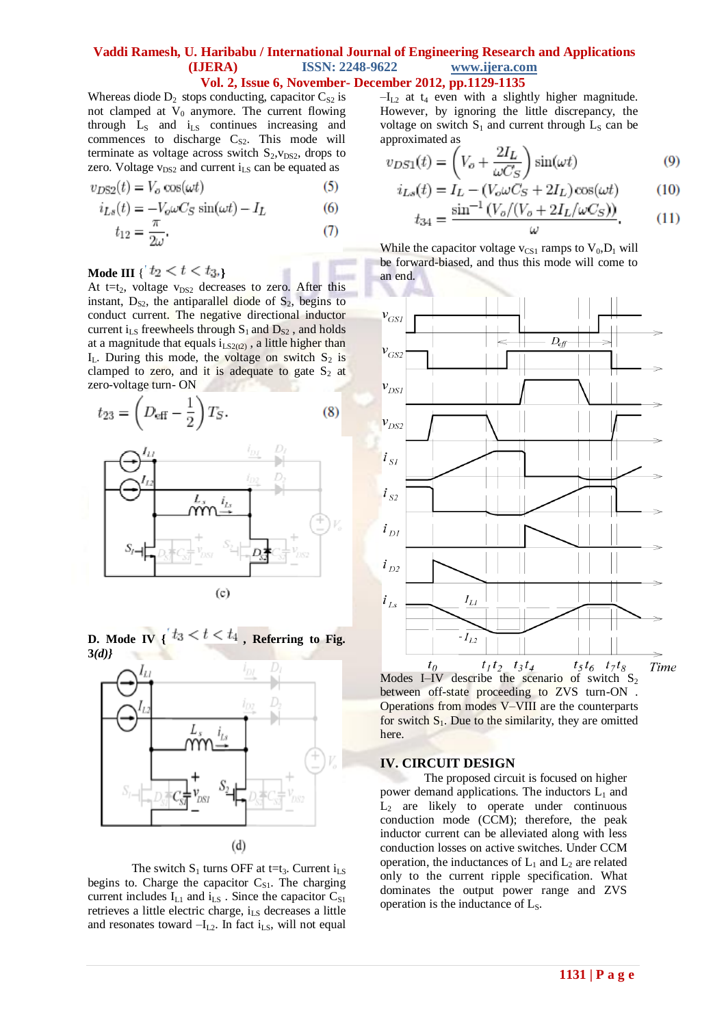**Vol. 2, Issue 6, November- December 2012, pp.1129-1135**

Whereas diode  $D_2$  stops conducting, capacitor  $C_{S2}$  is not clamped at  $V_0$  anymore. The current flowing through  $L_s$  and  $i_{LS}$  continues increasing and commences to discharge  $C_{S2}$ . This mode will terminate as voltage across switch  $S_2, V_{DS2}$ , drops to zero. Voltage  $v_{DS2}$  and current  $i_{LS}$  can be equated as

$$
v_{D\text{S2}}(t) = V_o \cos(\omega t) \tag{5}
$$

$$
i_{Ls}(t) = -V_o \omega C_S \sin(\omega t) - I_L \tag{6}
$$

$$
t_{12} = \frac{\pi}{2\omega}.\tag{7}
$$

# **Mode III** {  $t_2 < t < t_3$ }

At t=t<sub>2</sub>, voltage  $v_{DS2}$  decreases to zero. After this instant,  $D_{S2}$ , the antiparallel diode of  $S_2$ , begins to conduct current. The negative directional inductor current  $i_{LS}$  freewheels through  $S_1$  and  $D_{S2}$ , and holds at a magnitude that equals  $i_{LS2(12)}$ , a little higher than  $I_L$ . During this mode, the voltage on switch  $S_2$  is clamped to zero, and it is adequate to gate  $S_2$  at zero-voltage turn- ON







The switch  $S_1$  turns OFF at t=t<sub>3</sub>. Current i<sub>LS</sub> begins to. Charge the capacitor  $C_{S1}$ . The charging current includes  $I_{L1}$  and  $i_{LS}$ . Since the capacitor  $C_{S1}$ retrieves a little electric charge, i<sub>LS</sub> decreases a little and resonates toward  $-I_{L2}$ . In fact i<sub>LS</sub>, will not equal

 $-I_{L2}$  at  $t_4$  even with a slightly higher magnitude. However, by ignoring the little discrepancy, the voltage on switch  $S_1$  and current through  $L_S$  can be approximated as

$$
v_{DS1}(t) = \left(V_o + \frac{2I_L}{\omega C_S}\right)\sin(\omega t) \tag{9}
$$

$$
i_{Ls}(t) = I_L - (V_o \omega C_S + 2I_L) \cos(\omega t)
$$
 (10)  
\n
$$
\sin^{-1} (V_o / (V_o + 2I_L / \omega C_S))
$$

$$
t_{34} = \frac{\sin \left(\frac{V_{\partial}/\left(V_{\partial} + 2I_L/\omega C_S\right)}{\omega}\right)}{\omega}.\tag{11}
$$

While the capacitor voltage  $v_{CS1}$  ramps to  $V_0$ ,  $D_1$  will be forward-biased, and thus this mode will come to an end.



Modes I–IV describe the scenario of switch  $S_2$ between off-state proceeding to ZVS turn-ON . Operations from modes V–VIII are the counterparts for switch  $S_1$ . Due to the similarity, they are omitted here.

## **IV. CIRCUIT DESIGN**

The proposed circuit is focused on higher power demand applications. The inductors  $L_1$  and  $L_2$  are likely to operate under continuous conduction mode (CCM); therefore, the peak inductor current can be alleviated along with less conduction losses on active switches. Under CCM operation, the inductances of  $L_1$  and  $L_2$  are related only to the current ripple specification. What dominates the output power range and ZVS operation is the inductance of  $L_s$ .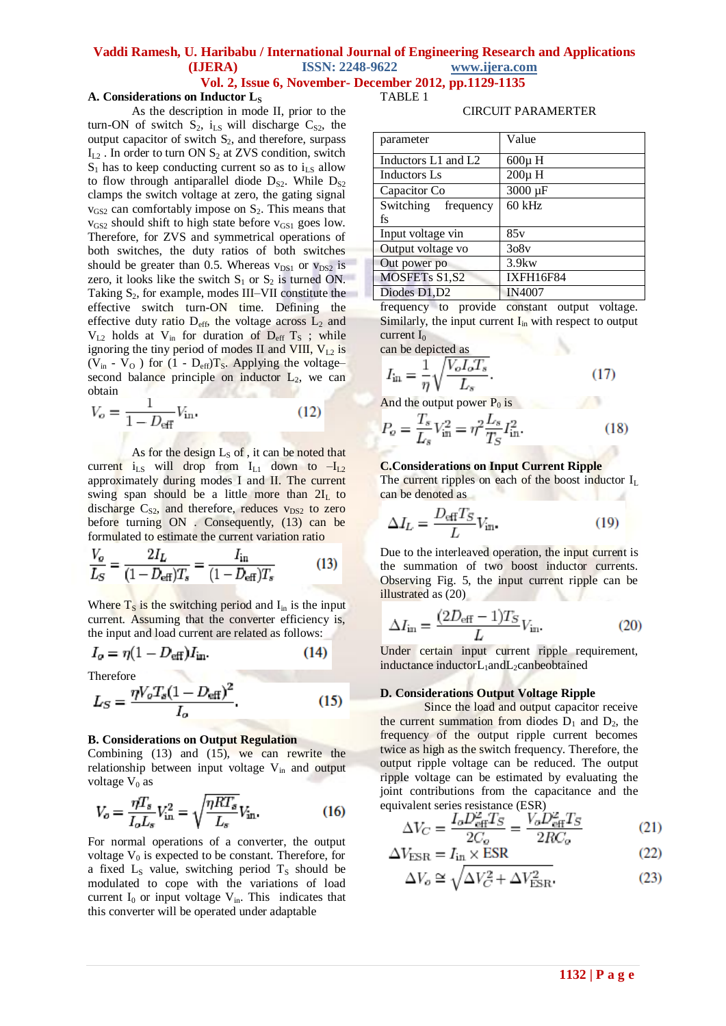#### **Vol. 2, Issue 6, November- December 2012, pp.1129-1135** TABLE 1

## **A. Considerations on Inductor L<sup>S</sup>**

As the description in mode II, prior to the turn-ON of switch  $S_2$ ,  $i_{LS}$  will discharge  $C_{S2}$ , the output capacitor of switch  $S_2$ , and therefore, surpass  $I_{L2}$ . In order to turn ON  $S_2$  at ZVS condition, switch  $S_1$  has to keep conducting current so as to  $i_{LS}$  allow to flow through antiparallel diode  $D_{S2}$ . While  $D_{S2}$ clamps the switch voltage at zero, the gating signal  $v_{GS2}$  can comfortably impose on  $S_2$ . This means that  $v_{GS2}$  should shift to high state before  $v_{GS1}$  goes low. Therefore, for ZVS and symmetrical operations of both switches, the duty ratios of both switches should be greater than 0.5. Whereas  $v_{DS1}$  or  $v_{DS2}$  is zero, it looks like the switch  $S_1$  or  $S_2$  is turned ON. Taking  $S_2$ , for example, modes III–VII constitute the effective switch turn-ON time. Defining the effective duty ratio  $D_{eff}$ , the voltage across  $L_2$  and  $V_{1,2}$  holds at  $V_{in}$  for duration of  $D_{eff}$  T<sub>S</sub>; while ignoring the tiny period of modes II and VIII,  $V_{L2}$  is ( $V_{in}$  -  $V_{O}$ ) for (1 -  $D_{eff}$ ) $T_{S}$ . Applying the voltage– second balance principle on inductor  $L<sub>2</sub>$ , we can obtain

$$
V_o = \frac{1}{1 - D_{\text{eff}}} V_{\text{in}}.
$$
 (12)

As for the design  $L_S$  of, it can be noted that current  $i_{LS}$  will drop from  $I_{L1}$  down to  $-I_{L2}$ approximately during modes I and II. The current swing span should be a little more than  $2I<sub>L</sub>$  to discharge  $C_{S2}$ , and therefore, reduces  $v_{DS2}$  to zero before turning ON . Consequently, (13) can be formulated to estimate the current variation ratio

$$
\frac{V_o}{L_S} = \frac{2I_L}{(1 - D_{\text{eff}})T_s} = \frac{I_{\text{in}}}{(1 - D_{\text{eff}})T_s}
$$
(13)

Where  $T_s$  is the switching period and  $I_{in}$  is the input current. Assuming that the converter efficiency is, the input and load current are related as follows:

$$
I_o = \eta (1 - D_{\text{eff}}) I_{\text{in}}.\tag{14}
$$

Therefore

$$
L_S = \frac{\eta V_o T_s (1 - D_{\text{eff}})^2}{I_o}.
$$
 (15)

#### **B. Considerations on Output Regulation**

Combining  $(13)$  and  $(15)$ , we can rewrite the relationship between input voltage V<sub>in</sub> and output voltage  $V_0$  as

$$
V_o = \frac{\eta T_s}{I_o L_s} V_{\text{in}}^2 = \sqrt{\frac{\eta R T_s}{L_s}} V_{\text{in}}.
$$
 (16)

For normal operations of a converter, the output voltage  $V_0$  is expected to be constant. Therefore, for a fixed  $L<sub>S</sub>$  value, switching period  $T<sub>S</sub>$  should be modulated to cope with the variations of load current  $I_0$  or input voltage  $V_{in}$ . This indicates that this converter will be operated under adaptable

#### CIRCUIT PARAMERTER

| parameter           | Value            |  |  |
|---------------------|------------------|--|--|
| Inductors L1 and L2 | $600\mu$ H       |  |  |
| Inductors Ls        | $200\mu$ H       |  |  |
| Capacitor Co        | 3000 µF          |  |  |
| Switching frequency | 60 kHz           |  |  |
| fs                  |                  |  |  |
| Input voltage vin   | 85v              |  |  |
| Output voltage vo   | 308v             |  |  |
| Out power po        | $3.9$ kw         |  |  |
| MOSFETs S1,S2       | <b>IXFH16F84</b> |  |  |
| Diodes D1, D2       | <b>IN4007</b>    |  |  |

frequency to provide constant output voltage. Similarly, the input current  $I_{in}$  with respect to output current  $I_0$ 

can be depicted as

$$
I_{\text{in}} = \frac{1}{\eta} \sqrt{\frac{V_o I_o T_s}{L_s}}.
$$
 (17)

And the output power  $P_0$  is

$$
P_o = \frac{T_s}{L_s} V_{\text{in}}^2 = \eta^2 \frac{L_s}{T_S} I_{\text{in}}^2.
$$
 (18)

#### **C.Considerations on Input Current Ripple**

The current ripples on each of the boost inductor  $I_L$ can be denoted as

$$
\Delta I_L = \frac{D_{\text{eff}} T_S}{L} V_{\text{in}}.\tag{19}
$$

Due to the interleaved operation, the input current is the summation of two boost inductor currents. Observing Fig. 5, the input current ripple can be illustrated as (20)

$$
\Delta I_{\rm in} = \frac{(2D_{\rm eff} - 1)T_S}{L} V_{\rm in}.
$$
\n(20)

Under certain input current ripple requirement, inductance inductorL<sub>1</sub>andL<sub>2</sub>canbeobtained

#### **D. Considerations Output Voltage Ripple**

Since the load and output capacitor receive the current summation from diodes  $D_1$  and  $D_2$ , the frequency of the output ripple current becomes twice as high as the switch frequency. Therefore, the output ripple voltage can be reduced. The output ripple voltage can be estimated by evaluating the joint contributions from the capacitance and the equivalent series resistance (ESR)

$$
\Delta V_C = \frac{I_o D_{\text{eff}}^2 T_S}{2C_o} = \frac{V_o D_{\text{eff}}^2 T_S}{2RC_o} \tag{21}
$$

$$
\Delta V_{\text{ESR}} = I_{\text{in}} \times \text{ESR} \tag{22}
$$

$$
\Delta V_o \cong \sqrt{\Delta V_C^2 + \Delta V_{\text{ESR}}^2}.
$$
\n(23)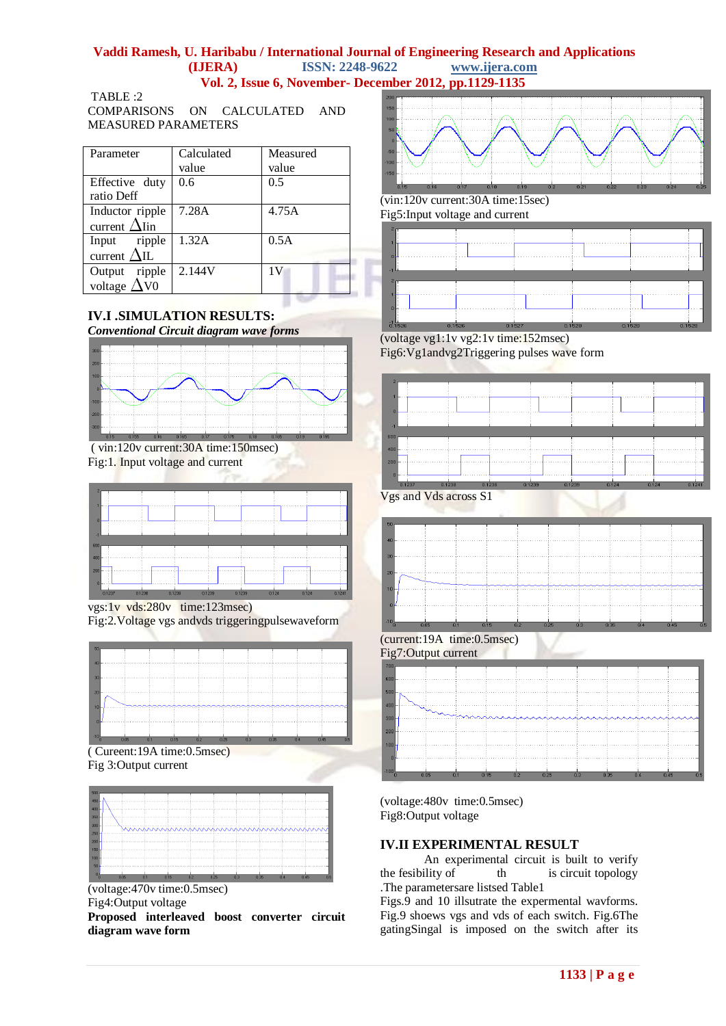# **Vaddi Ramesh, U. Haribabu / International Journal of Engineering Research and Applications**

**(IJERA)** ISSN: 2248-9622 **Vol. 2, Issue 6, November- December 2012, pp.1129-1135**

TABLE :2 COMPARISONS ON CALCULATED AND MEASURED PARAMETERS

| Parameter            | Calculated | Measured |
|----------------------|------------|----------|
|                      | value      | value    |
| Effective duty       | 0.6        | 0.5      |
| ratio Deff           |            |          |
| Inductor ripple      | 7.28A      | 4.75A    |
| current $\Delta$ Iin |            |          |
| Input ripple         | 1.32A      | 0.5A     |
| current $\Delta$ IL  |            |          |
| Output ripple        | 2.144V     | 1V       |
| voltage $\Delta$ V0  |            |          |

# **IV.I .SIMULATION RESULTS:**

*Conventional Circuit diagram wave forms*



( vin:120v current:30A time:150msec) Fig:1. Input voltage and current

| $\mathcal{D}$ |  |  |  |  |
|---------------|--|--|--|--|
| n             |  |  |  |  |
|               |  |  |  |  |
|               |  |  |  |  |
| 600<br>400    |  |  |  |  |
| 200<br>п      |  |  |  |  |

vgs:1v vds:280v time:123msec)

Fig:2.Voltage vgs andvds triggeringpulsewaveform



( Cureent:19A time:0.5msec) Fig 3:Output current



(voltage:470v time:0.5msec) Fig4:Output voltage **Proposed interleaved boost converter circuit diagram wave form** 



(vin:120v current:30A time:15sec) Fig5:Input voltage and current



(voltage vg1:1v vg2:1v time:152msec) Fig6:Vg1andvg2Triggering pulses wave form



Vgs and Vds across S1



(voltage:480v time:0.5msec) Fig8:Output voltage

# **IV.II EXPERIMENTAL RESULT**

An experimental circuit is built to verify the fesibility of  $\qquad$  th is circuit topology .The parametersare listsed Table1

Figs.9 and 10 illsutrate the expermental wavforms. Fig.9 shoews vgs and vds of each switch. Fig.6The gatingSingal is imposed on the switch after its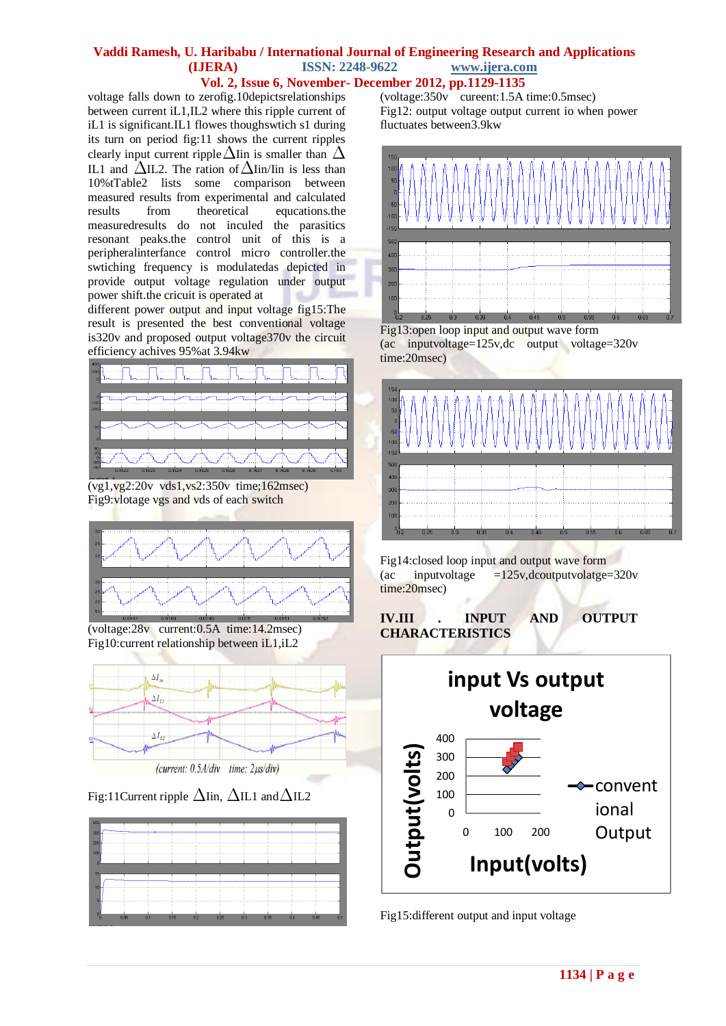# **Vol. 2, Issue 6, November- December 2012, pp.1129-1135**

voltage falls down to zerofig.10depictsrelationships between current iL1,IL2 where this ripple current of iL1 is significant.IL1 flowes thoughswtich s1 during its turn on period fig:11 shows the current ripples clearly input current ripple  $\Delta$ Iin is smaller than  $\Delta$ IL1 and  $\Delta$ IL2. The ration of  $\Delta$ Iin/Iin is less than 10%tTable2 lists some comparison between measured results from experimental and calculated results from theoretical equcations.the measuredresults do not inculed the parasitics resonant peaks.the control unit of this is a peripheralinterfance control micro controller.the swtiching frequency is modulatedas depicted in provide output voltage regulation under output power shift.the cricuit is operated at

different power output and input voltage fig15:The result is presented the best conventional voltage is320v and proposed output voltage370v the circuit efficiency achives 95%at 3.94kw



(vg1,vg2:20v vds1,vs2:350v time;162msec) Fig9:vlotage vgs and vds of each switch



(voltage:28v current:0.5A time:14.2msec) Fig10:current relationship between iL1,iL2



Fig:11Current ripple  $\Delta$ Iin,  $\Delta$ IL1 and  $\Delta$ IL2



 $(voltage: 350v$ <sup>cureent:1.5A time:0.5msec)</sup> Fig12: output voltage output current io when power fluctuates between3.9kw



Fig13:open loop input and output wave form (ac inputvoltage=125v,dc output voltage=320v time:20msec)



Fig14:closed loop input and output wave form (ac inputvoltage =125v,dcoutputvolatge=320v time:20msec)

**IV.III . INPUT AND OUTPUT CHARACTERISTICS**



Fig15:different output and input voltage